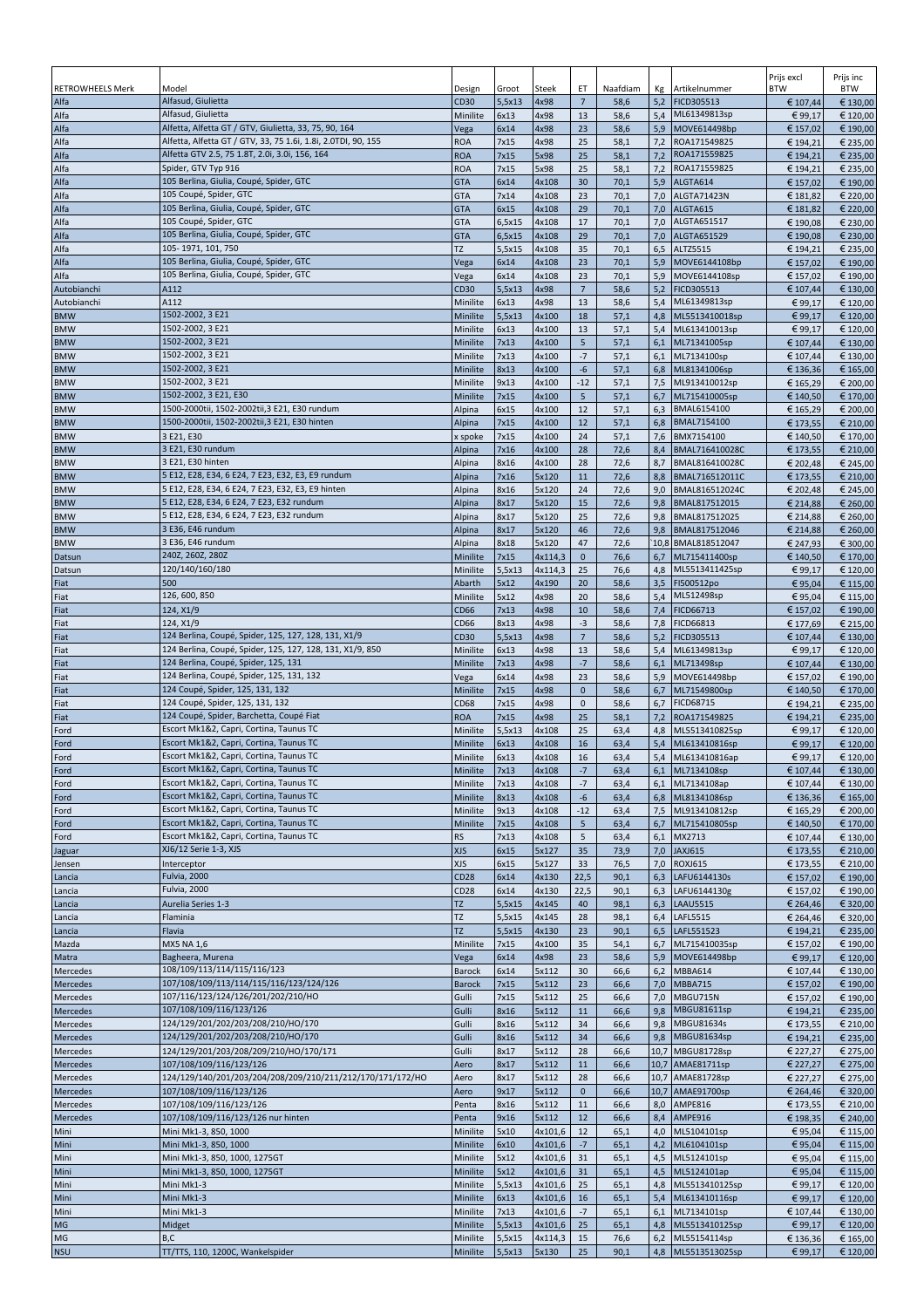|                          |                                                                                       |                          |                  |                    |                                  |              |            |                                         | Prijs excl           | Prijs inc            |
|--------------------------|---------------------------------------------------------------------------------------|--------------------------|------------------|--------------------|----------------------------------|--------------|------------|-----------------------------------------|----------------------|----------------------|
| <b>RETROWHEELS Merk</b>  | Model<br>Alfasud, Giulietta                                                           | Design                   | Groot            | Steek              | ET                               | Naafdiam     | Кg         | Artikelnummer                           | <b>BTW</b>           | <b>BTW</b>           |
| Alfa<br>Alfa             | Alfasud, Giulietta                                                                    | CD30<br>Minilite         | 5,5x13<br>6x13   | 4x98<br>4x98       | $\overline{7}$<br>13             | 58,6<br>58,6 | 5,2        | FICD305513<br>5,4 ML61349813sp          | € 107,44<br>€ 99,17  | € 130,00<br>€ 120,00 |
| Alfa                     | Alfetta, Alfetta GT / GTV, Giulietta, 33, 75, 90, 164                                 | Vega                     | 6x14             | 4x98               | 23                               | 58,6         | 5,9        | MOVE614498bp                            | € 157,02             | € 190,00             |
| Alfa                     | Alfetta, Alfetta GT / GTV, 33, 75 1.6i, 1.8i, 2.0TDI, 90, 155                         | <b>ROA</b>               | 7x15             | 4x98               | 25                               | 58,1         | 7,2        | ROA171549825                            | € 194,21             | € 235,00             |
| Alfa                     | Alfetta GTV 2.5, 75 1.8T, 2.0i, 3.0i, 156, 164                                        | <b>ROA</b>               | 7x15             | 5x98               | 25                               | 58,1         | 7,2        | ROA171559825                            | € 194,21             | € 235,00             |
| Alfa                     | Spider, GTV Typ 916                                                                   | <b>ROA</b>               | 7x15             | 5x98               | 25                               | 58,1         | 7,2        | ROA171559825                            | € 194,21             | € 235,00             |
| Alfa<br>Alfa             | 105 Berlina, Giulia, Coupé, Spider, GTC<br>105 Coupé, Spider, GTC                     | <b>GTA</b>               | 6x14<br>7x14     | 4x108<br>4x108     | 30<br>23                         | 70,1<br>70,1 | 5,9<br>7,0 | ALGTA614                                | € 157,02<br>€ 181,82 | € 190,00<br>€ 220,00 |
| Alfa                     | 105 Berlina, Giulia, Coupé, Spider, GTC                                               | <b>GTA</b><br><b>GTA</b> | 6x15             | 4x108              | 29                               | 70,1         |            | ALGTA71423N<br>7,0 ALGTA615             | € 181,82             | € 220,00             |
| Alfa                     | 105 Coupé, Spider, GTC                                                                | <b>GTA</b>               | 6,5x15           | 4x108              | 17                               | 70,1         | 7,0        | ALGTA651517                             | €190,08              | € 230,00             |
| Alfa                     | 105 Berlina, Giulia, Coupé, Spider, GTC                                               | <b>GTA</b>               | 6,5x15           | 4x108              | 29                               | 70,1         |            | 7,0 ALGTA651529                         | € 190,08             | € 230,00             |
| Alfa                     | 105-1971, 101, 750                                                                    | TZ                       | 5,5x15           | 4x108              | 35                               | 70,1         | 6,5        | ALTZ5515                                | € 194,21             | € 235,00             |
| Alfa                     | 105 Berlina, Giulia, Coupé, Spider, GTC<br>105 Berlina, Giulia, Coupé, Spider, GTC    | Vega                     | 6x14             | 4x108              | 23                               | 70,1         | 5,9        | MOVE6144108bp                           | € 157,02             | € 190,00             |
| Alfa<br>Autobianchi      | A112                                                                                  | Vega<br>CD30             | 6x14<br>5,5x13   | 4x108<br>4x98      | 23<br>$\sqrt{7}$                 | 70,1<br>58,6 | 5,9<br>5,2 | MOVE6144108sp<br>FICD305513             | € 157,02<br>€ 107,44 | € 190,00<br>€ 130,00 |
| Autobianchi              | A112                                                                                  | Minilite                 | 6x13             | 4x98               | 13                               | 58,6         | 5,4        | ML61349813sp                            | € 99,17              | € 120,00             |
| <b>BMW</b>               | 1502-2002, 3 E21                                                                      | Minilite                 | 5,5x13           | 4x100              | 18                               | 57,1         | 4,8        | ML5513410018sp                          | € 99,17              | € 120,00             |
| <b>BMW</b>               | 1502-2002, 3 E21                                                                      | Minilite                 | 6x13             | 4x100              | 13                               | 57,1         |            | 5,4 ML613410013sp                       | €99,17               | € 120,00             |
| <b>BMW</b>               | 1502-2002, 3 E21                                                                      | Minilite                 | 7x13             | 4x100              | 5                                | 57,1         | 6,1        | ML71341005sp                            | € 107,44             | € 130,00             |
| <b>BMW</b><br><b>BMW</b> | 1502-2002, 3 E21<br>1502-2002, 3 E21                                                  | Minilite<br>Minilite     | 7x13<br>8x13     | 4x100<br>4x100     | $-7$<br>-6                       | 57,1<br>57,1 | 6,1<br>6,8 | ML7134100sp<br>ML81341006sp             | € 107,44             | € 130,00<br>€ 165,00 |
| <b>BMW</b>               | 1502-2002, 3 E21                                                                      | Minilite                 | 9x13             | 4x100              | $-12$                            | 57,1         | 7,5        | ML913410012sp                           | € 136,36<br>€ 165,29 | € 200,00             |
| <b>BMW</b>               | 1502-2002, 3 E21, E30                                                                 | Minilite                 | 7x15             | 4x100              | $5\phantom{.0}$                  | 57,1         | 6,7        | ML715410005sp                           | € 140,50             | € 170,00             |
| <b>BMW</b>               | 1500-2000tii, 1502-2002tii,3 E21, E30 rundum                                          | Alpina                   | 6x15             | 4x100              | 12                               | 57,1         | 6,3        | BMAL6154100                             | € 165,29             | € 200,00             |
| <b>BMW</b>               | 1500-2000tii, 1502-2002tii,3 E21, E30 hinten                                          | Alpina                   | 7x15             | 4x100              | 12                               | 57,1         |            | 6,8 BMAL7154100                         | € 173,55             | € 210,00             |
| <b>BMW</b>               | 3 E21, E30<br>3 E21, E30 rundum                                                       | x spoke                  | 7x15             | 4x100              | 24                               | 57,1         |            | 7,6 BMX7154100                          | € 140,50             | € 170,00             |
| <b>BMW</b><br><b>BMW</b> | 3 E21, E30 hinten                                                                     | Alpina<br>Alpina         | 7x16<br>8x16     | 4x100<br>4x100     | 28<br>28                         | 72,6<br>72,6 | 8,4<br>8,7 | BMAL716410028C<br>BMAL816410028C        | € 173,55<br>€ 202,48 | € 210,00<br>€ 245,00 |
| <b>BMW</b>               | 5 E12, E28, E34, 6 E24, 7 E23, E32, E3, E9 rundum                                     | Alpina                   | 7x16             | 5x120              | 11                               | 72,6         | 8,8        | BMAL716512011C                          | € 173,55             | € 210,00             |
| <b>BMW</b>               | 5 E12, E28, E34, 6 E24, 7 E23, E32, E3, E9 hinten                                     | Alpina                   | 8x16             | 5x120              | 24                               | 72,6         | 9,0        | BMAL816512024C                          | € 202,48             | € 245,00             |
| <b>BMW</b>               | 5 E12, E28, E34, 6 E24, 7 E23, E32 rundum                                             | Alpina                   | 8x17             | 5x120              | 15                               | 72,6         | 9,8        | BMAL817512015                           | € 214,88             | € 260,00             |
| <b>BMW</b>               | 5 E12, E28, E34, 6 E24, 7 E23, E32 rundum                                             | Alpina                   | 8x17             | 5x120              | 25                               | 72,6         |            | 9,8 BMAL817512025                       | € 214,88             | € 260,00             |
| <b>BMW</b><br><b>BMW</b> | 3 E36, E46 rundum<br>3 E36, E46 rundum                                                | Alpina                   | 8x17             | 5x120<br>5x120     | 46<br>47                         | 72,6         |            | 9,8 BMAL817512046<br>10,8 BMAL818512047 | € 214,88             | € 260,00             |
| Datsun                   | 240Z, 260Z, 280Z                                                                      | Alpina<br>Minilite       | 8x18<br>7x15     | 4x114,3            | $\mathbf{0}$                     | 72,6<br>76,6 | 6,7        | ML715411400sp                           | € 247,93<br>€ 140,50 | € 300,00<br>€ 170,00 |
| Datsun                   | 120/140/160/180                                                                       | Minilite                 | 5,5x13           | 4x114,3            | 25                               | 76,6         | 4,8        | ML5513411425sp                          | € 99,17              | € 120,00             |
| Fiat                     | 500                                                                                   | Abarth                   | 5x12             | 4x190              | 20                               | 58,6         |            | 3,5 FI500512po                          | €95,04               | € 115,00             |
| Fiat                     | 126, 600, 850                                                                         | Minilite                 | 5x12             | 4x98               | 20                               | 58,6         | 5,4        | ML512498sp                              | €95,04               | € 115,00             |
| Fiat                     | 124, X1/9                                                                             | <b>CD66</b>              | 7x13             | 4x98               | 10                               | 58,6         |            | 7,4 FICD66713                           | € 157,02             | € 190,00             |
| Fiat                     | 124, X1/9<br>124 Berlina, Coupé, Spider, 125, 127, 128, 131, X1/9                     | CD66                     | 8x13             | 4x98<br>4x98       | $-3$<br>$\overline{\phantom{a}}$ | 58,6         |            | 7,8 FICD66813                           | € 177,69             | € 215,00             |
| Fiat<br>Fiat             | 124 Berlina, Coupé, Spider, 125, 127, 128, 131, X1/9, 850                             | CD30<br>Minilite         | 5,5x13<br>6x13   | 4x98               | 13                               | 58,6<br>58,6 | 5,2<br>5,4 | FICD305513<br>ML61349813sp              | € 107,44<br>€ 99,17  | € 130,00<br>€ 120,00 |
| Fiat                     | 124 Berlina, Coupé, Spider, 125, 131                                                  | Minilite                 | 7x13             | 4x98               | $-7$                             | 58,6         | 6,1        | ML713498sp                              | € 107,44             | € 130,00             |
| Fiat                     | 124 Berlina, Coupé, Spider, 125, 131, 132                                             | Vega                     | 6x14             | 4x98               | 23                               | 58,6         | 5,9        | MOVE614498bp                            | € 157,02             | € 190,00             |
| Fiat                     | 124 Coupé, Spider, 125, 131, 132                                                      | Minilite                 | 7x15             | 4x98               | $\mathbf 0$                      | 58,6         | 6,7        | ML71549800sp                            | € 140,50             | € 170,00             |
| Fiat                     | 124 Coupé, Spider, 125, 131, 132                                                      | <b>CD68</b>              | 7x15             | 4x98               | $\mathbf 0$                      | 58,6         | 6,7        | <b>FICD68715</b>                        | € 194,21             | € 235,00             |
| Fiat<br>Ford             | 124 Coupé, Spider, Barchetta, Coupé Fiat<br>Escort Mk1&2, Capri, Cortina, Taunus TC   | <b>ROA</b><br>Minilite   | 7x15<br>5,5x13   | 4x98<br>4x108      | 25<br>25                         | 58,1<br>63,4 | 7,2        | ROA171549825<br>4,8 ML5513410825sp      | € 194,21<br>€ 99,17  | € 235,00<br>€ 120,00 |
| Ford                     | Escort Mk1&2, Capri, Cortina, Taunus TC                                               | Minilite                 | 6x13             | 4x108              | 16                               | 63,4         |            | 5,4 ML613410816sp                       | € 99,17              | € 120,00             |
| Ford                     | Escort Mk1&2, Capri, Cortina, Taunus TC                                               | Minilite                 | 6x13             | 4x108              | 16                               | 63,4         |            | 5,4 ML613410816ap                       | € 99,17              | € 120,00             |
| Ford                     | Escort Mk1&2, Capri, Cortina, Taunus TC                                               | Minilite                 | 7x13             | 4x108              | $\text{-}7$                      | 63,4         |            | 6,1 ML7134108sp                         | € 107,44             | € 130,00             |
| Ford                     | Escort Mk1&2, Capri, Cortina, Taunus TC                                               | Minilite                 | 7x13             | 4x108              | $-7$                             | 63,4         |            | 6,1 ML7134108ap                         | € 107,44             | € 130,00             |
| Ford                     | Escort Mk1&2, Capri, Cortina, Taunus TC<br>Escort Mk1&2, Capri, Cortina, Taunus TC    | Minilite<br>Minilite     | 8x13<br>9x13     | 4x108<br>4x108     | -6<br>$-12$                      | 63,4         |            | 6,8 ML81341086sp                        | € 136,36<br>€ 165,29 | € 165,00<br>€ 200,00 |
| Ford<br>Ford             | Escort Mk1&2, Capri, Cortina, Taunus TC                                               | Minilite                 | 7x15             | 4x108              | $5\phantom{.0}$                  | 63,4<br>63,4 |            | 7,5 ML913410812sp<br>6,7 ML715410805sp  | € 140,50             | € 170,00             |
| Ford                     | Escort Mk1&2, Capri, Cortina, Taunus TC                                               | <b>RS</b>                | 7x13             | 4x108              | 5                                | 63,4         |            | 6,1 MX2713                              | € 107,44             | € 130,00             |
| Jaguar                   | XJ6/12 Serie 1-3, XJS                                                                 | <b>XJS</b>               | 6x15             | 5x127              | 35                               | 73,9         |            | 7,0 JAXJ615                             | € 173,55             | € 210,00             |
| Jensen                   | Interceptor                                                                           | <b>XJS</b>               | 6x15             | 5x127              | 33                               | 76,5         | 7,0        | <b>ROXJ615</b>                          | € 173,55             | € 210,00             |
| Lancia                   | Fulvia, 2000                                                                          | <b>CD28</b>              | 6x14             | 4x130              | 22,5                             | 90,1         | 6,3        | LAFU6144130s                            | € 157,02             | € 190,00             |
| Lancia<br>Lancia         | Fulvia, 2000<br>Aurelia Series 1-3                                                    | <b>CD28</b><br>TZ        | 6x14<br>5,5x15   | 4x130<br>4x145     | 22,5<br>40                       | 90,1<br>98,1 |            | 6,3 LAFU6144130g<br>6,3 LAAU5515        | € 157,02<br>€ 264,46 | € 190,00<br>€ 320,00 |
| Lancia                   | Flaminia                                                                              | TZ                       | 5,5x15           | 4x145              | 28                               | 98,1         |            | 6,4   LAFL5515                          | € 264,46             | € 320,00             |
| Lancia                   | Flavia                                                                                | TZ                       | 5,5x15           | 4x130              | 23                               | 90,1         |            | 6,5   LAFL551523                        | € 194,21             | € 235,00             |
| Mazda                    | MX5 NA 1,6                                                                            | Minilite                 | 7x15             | 4x100              | 35                               | 54,1         |            | 6,7 ML715410035sp                       | € 157,02             | € 190,00             |
| Matra                    | Bagheera, Murena                                                                      | Vega                     | 6x14             | 4x98               | 23                               | 58,6         | 5,9        | MOVE614498bp                            | € 99,17              | € 120,00             |
| Mercedes                 | 108/109/113/114/115/116/123<br>107/108/109/113/114/115/116/123/124/126                | Barock<br>Barock         | 6x14<br>7x15     | 5x112<br>5x112     | 30<br>23                         | 66,6<br>66,6 |            | 6,2 MBBA614<br>7,0 MBBA715              | € 107,44<br>€ 157,02 | € 130,00<br>€ 190,00 |
| Mercedes<br>Mercedes     | 107/116/123/124/126/201/202/210/HO                                                    | Gulli                    | 7x15             | 5x112              | 25                               | 66,6         | 7,0        | MBGU715N                                | € 157,02             | € 190,00             |
| Mercedes                 | 107/108/109/116/123/126                                                               | Gulli                    | 8x16             | 5x112              | $11\,$                           | 66,6         | 9,8        | MBGU81611sp                             | € 194,21             | € 235,00             |
| Mercedes                 | 124/129/201/202/203/208/210/HO/170                                                    | Gulli                    | 8x16             | 5x112              | 34                               | 66,6         |            | 9,8 MBGU81634s                          | € 173,55             | € 210,00             |
| Mercedes                 | 124/129/201/202/203/208/210/HO/170                                                    | Gulli                    | 8x16             | 5x112              | 34                               | 66,6         |            | 9,8 MBGU81634sp                         | € 194,21             | € 235,00             |
| Mercedes                 | 124/129/201/203/208/209/210/HO/170/171                                                | Gulli                    | 8x17             | 5x112              | 28                               | 66,6         |            | 10,7 MBGU81728sp                        | € 227,27             | € 275,00             |
| Mercedes<br>Mercedes     | 107/108/109/116/123/126<br>124/129/140/201/203/204/208/209/210/211/212/170/171/172/HO | Aero<br>Aero             | 8x17<br>8x17     | 5x112<br>5x112     | 11<br>28                         | 66,6<br>66,6 |            | 10,7 AMAE81711sp<br>10,7 AMAE81728sp    | € 227,27<br>€ 227,27 | € 275,00<br>€ 275,00 |
| Mercedes                 | 107/108/109/116/123/126                                                               | Aero                     | 9x17             | 5x112              | $\mathbf 0$                      | 66,6         |            | 10,7 AMAE91700sp                        | € 264,46             | € 320,00             |
| Mercedes                 | 107/108/109/116/123/126                                                               | Penta                    | 8x16             | 5x112              | 11                               | 66,6         | 8,0        | AMPE816                                 | € 173,55             | € 210,00             |
| Mercedes                 | 107/108/109/116/123/126 nur hinten                                                    | Penta                    | 9x16             | 5x112              | 12                               | 66,6         |            | 8,4 AMPE916                             | € 198,35             | € 240,00             |
| Mini                     | Mini Mk1-3, 850, 1000                                                                 | Minilite                 | 5x10             | 4x101,6            | 12                               | 65,1         |            | 4,0 ML5104101sp                         | €95,04               | € 115,00             |
| Mini                     | Mini Mk1-3, 850, 1000                                                                 | Minilite                 | 6x10             | 4x101,6            | $-7$                             | 65,1         |            | 4,2 ML6104101sp                         | €95,04               | € 115,00             |
| Mini<br>Mini             | Mini Mk1-3, 850, 1000, 1275GT<br>Mini Mk1-3, 850, 1000, 1275GT                        | Minilite<br>Minilite     | 5x12<br>5x12     | 4x101,6<br>4x101,6 | 31<br>31                         | 65,1<br>65,1 |            | 4,5 ML5124101sp<br>4,5 ML5124101ap      | €95,04<br>€95,04     | € 115,00<br>€ 115,00 |
| Mini                     | Mini Mk1-3                                                                            | Minilite                 | 5,5x13           | 4x101,6            | 25                               | 65,1         |            | 4,8 ML5513410125sp                      | € 99,17              | € 120,00             |
| Mini                     | Mini Mk1-3                                                                            | Minilite                 | 6x13             | 4x101,6            | 16                               | 65,1         |            | 5,4 ML613410116sp                       | €99,17               | € 120,00             |
| Mini                     | Mini Mk1-3                                                                            | Minilite                 | 7x13             | 4x101,6            | $-7$                             | 65,1         |            | 6,1 ML7134101sp                         | € 107,44             | € 130,00             |
| MG                       | Midget                                                                                | Minilite                 | 5,5x13           | 4x101,6            | 25                               | 65,1         |            | 4,8 ML5513410125sp                      | €99,17               | € 120,00             |
| MG<br><b>NSU</b>         | B,C<br>TT/TTS, 110, 1200C, Wankelspider                                               | Minilite<br>Minilite     | 5,5x15<br>5,5x13 | 4x114,3<br>5x130   | 15<br>25                         | 76,6<br>90,1 |            | 6,2 ML55154114sp<br>4,8 ML5513513025sp  | € 136,36<br>€99,17   | € 165,00<br>€ 120,00 |